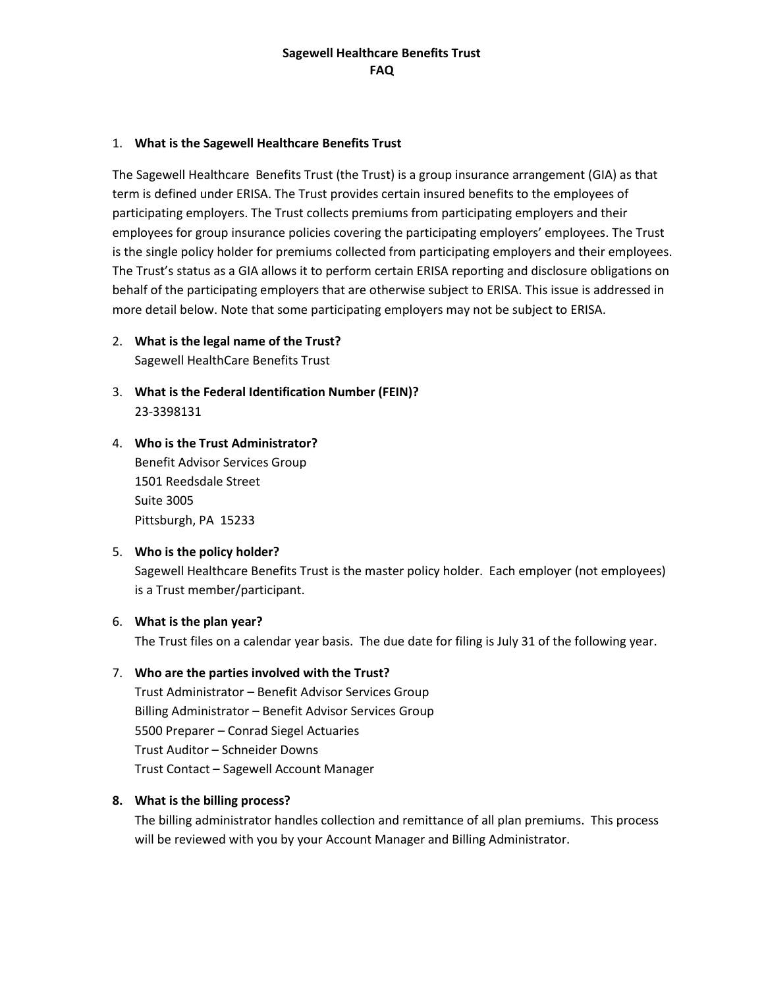### 1. **What is the Sagewell Healthcare Benefits Trust**

The Sagewell Healthcare Benefits Trust (the Trust) is a group insurance arrangement (GIA) as that term is defined under ERISA. The Trust provides certain insured benefits to the employees of participating employers. The Trust collects premiums from participating employers and their employees for group insurance policies covering the participating employers' employees. The Trust is the single policy holder for premiums collected from participating employers and their employees. The Trust's status as a GIA allows it to perform certain ERISA reporting and disclosure obligations on behalf of the participating employers that are otherwise subject to ERISA. This issue is addressed in more detail below. Note that some participating employers may not be subject to ERISA.

- 2. **What is the legal name of the Trust?** Sagewell HealthCare Benefits Trust
- 3. **What is the Federal Identification Number (FEIN)?** 23-3398131
- 4. **Who is the Trust Administrator?** Benefit Advisor Services Group 1501 Reedsdale Street Suite 3005 Pittsburgh, PA 15233

## 5. **Who is the policy holder?**

Sagewell Healthcare Benefits Trust is the master policy holder. Each employer (not employees) is a Trust member/participant.

### 6. **What is the plan year?**

The Trust files on a calendar year basis. The due date for filing is July 31 of the following year.

### 7. **Who are the parties involved with the Trust?**

Trust Administrator – Benefit Advisor Services Group Billing Administrator – Benefit Advisor Services Group 5500 Preparer – Conrad Siegel Actuaries Trust Auditor – Schneider Downs Trust Contact – Sagewell Account Manager

### **8. What is the billing process?**

The billing administrator handles collection and remittance of all plan premiums. This process will be reviewed with you by your Account Manager and Billing Administrator.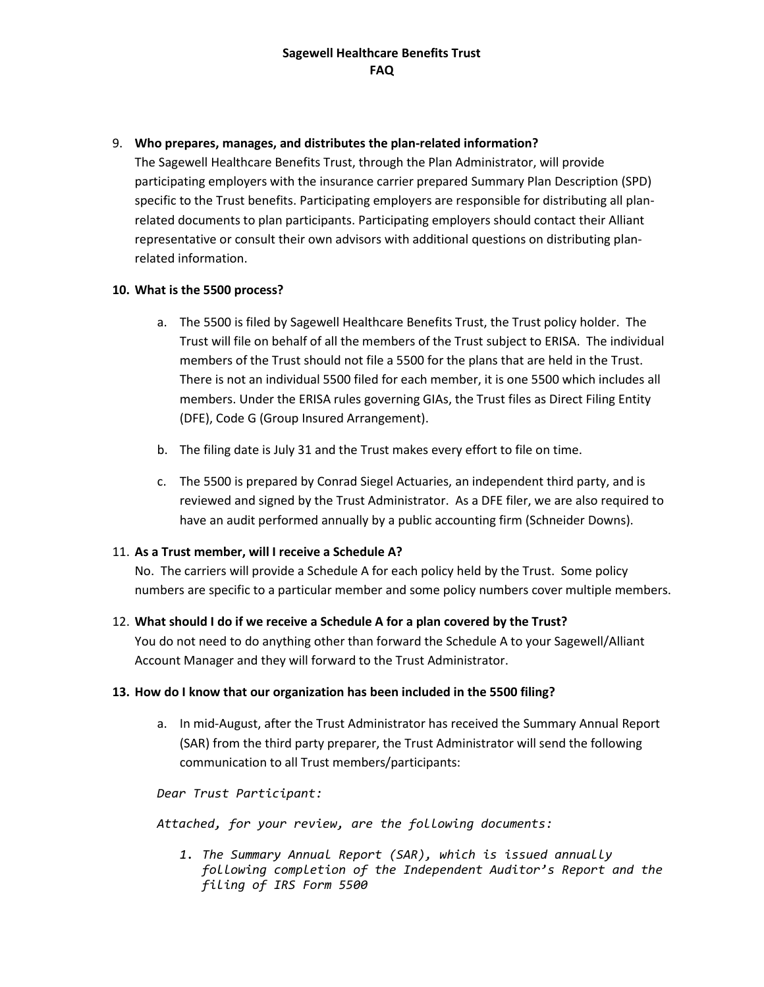## 9. **Who prepares, manages, and distributes the plan-related information?**

The Sagewell Healthcare Benefits Trust, through the Plan Administrator, will provide participating employers with the insurance carrier prepared Summary Plan Description (SPD) specific to the Trust benefits. Participating employers are responsible for distributing all planrelated documents to plan participants. Participating employers should contact their Alliant representative or consult their own advisors with additional questions on distributing planrelated information.

# **10. What is the 5500 process?**

- a. The 5500 is filed by Sagewell Healthcare Benefits Trust, the Trust policy holder. The Trust will file on behalf of all the members of the Trust subject to ERISA. The individual members of the Trust should not file a 5500 for the plans that are held in the Trust. There is not an individual 5500 filed for each member, it is one 5500 which includes all members. Under the ERISA rules governing GIAs, the Trust files as Direct Filing Entity (DFE), Code G (Group Insured Arrangement).
- b. The filing date is July 31 and the Trust makes every effort to file on time.
- c. The 5500 is prepared by Conrad Siegel Actuaries, an independent third party, and is reviewed and signed by the Trust Administrator. As a DFE filer, we are also required to have an audit performed annually by a public accounting firm (Schneider Downs).

# 11. **As a Trust member, will I receive a Schedule A?**

No. The carriers will provide a Schedule A for each policy held by the Trust. Some policy numbers are specific to a particular member and some policy numbers cover multiple members.

## 12. **What should I do if we receive a Schedule A for a plan covered by the Trust?**

You do not need to do anything other than forward the Schedule A to your Sagewell/Alliant Account Manager and they will forward to the Trust Administrator.

# **13. How do I know that our organization has been included in the 5500 filing?**

a. In mid-August, after the Trust Administrator has received the Summary Annual Report (SAR) from the third party preparer, the Trust Administrator will send the following communication to all Trust members/participants:

*Dear Trust Participant:*

*Attached, for your review, are the following documents:*

*1. The Summary Annual Report (SAR), which is issued annually following completion of the Independent Auditor's Report and the filing of IRS Form 5500*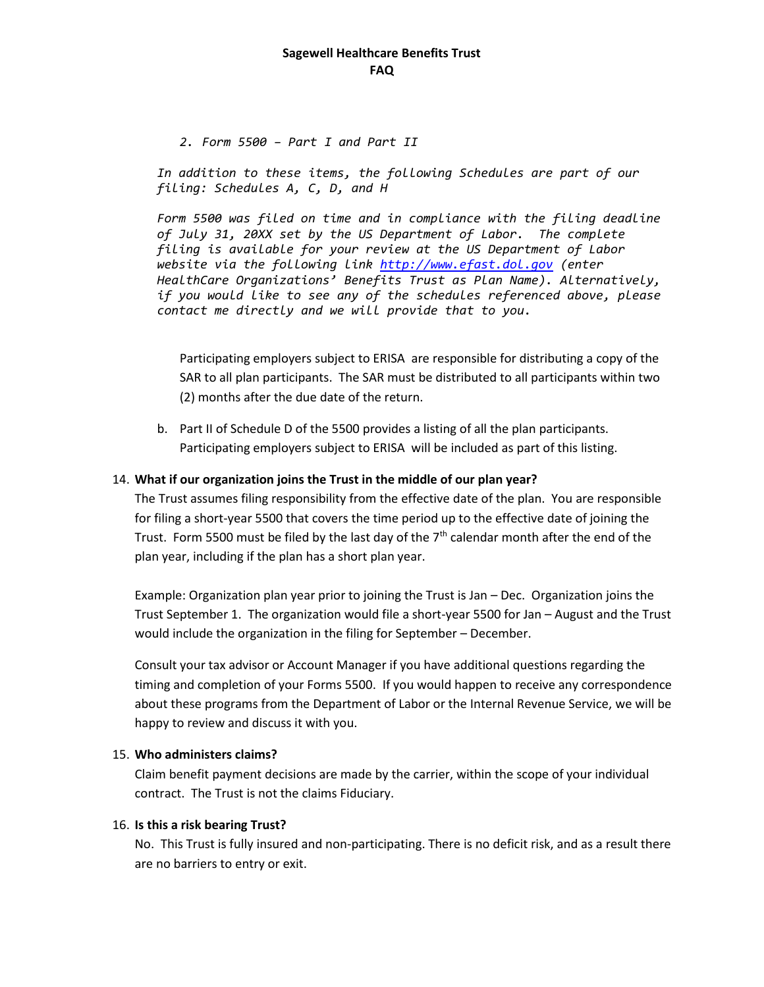*2. Form 5500 – Part I and Part II*

*In addition to these items, the following Schedules are part of our filing: Schedules A, C, D, and H*

*Form 5500 was filed on time and in compliance with the filing deadline of July 31, 20XX set by the US Department of Labor. The complete filing is available for your review at the US Department of Labor website via the following link [http://www.efast.dol.gov](http://www.efast.dol.gov/) (enter HealthCare Organizations' Benefits Trust as Plan Name). Alternatively, if you would like to see any of the schedules referenced above, please contact me directly and we will provide that to you.*

Participating employers subject to ERISA are responsible for distributing a copy of the SAR to all plan participants. The SAR must be distributed to all participants within two (2) months after the due date of the return.

b. Part II of Schedule D of the 5500 provides a listing of all the plan participants. Participating employers subject to ERISA will be included as part of this listing.

### 14. **What if our organization joins the Trust in the middle of our plan year?**

The Trust assumes filing responsibility from the effective date of the plan. You are responsible for filing a short-year 5500 that covers the time period up to the effective date of joining the Trust. Form 5500 must be filed by the last day of the  $7<sup>th</sup>$  calendar month after the end of the plan year, including if the plan has a short plan year.

Example: Organization plan year prior to joining the Trust is Jan – Dec. Organization joins the Trust September 1. The organization would file a short-year 5500 for Jan – August and the Trust would include the organization in the filing for September – December.

Consult your tax advisor or Account Manager if you have additional questions regarding the timing and completion of your Forms 5500. If you would happen to receive any correspondence about these programs from the Department of Labor or the Internal Revenue Service, we will be happy to review and discuss it with you.

### 15. **Who administers claims?**

Claim benefit payment decisions are made by the carrier, within the scope of your individual contract. The Trust is not the claims Fiduciary.

### 16. **Is this a risk bearing Trust?**

No. This Trust is fully insured and non-participating. There is no deficit risk, and as a result there are no barriers to entry or exit.